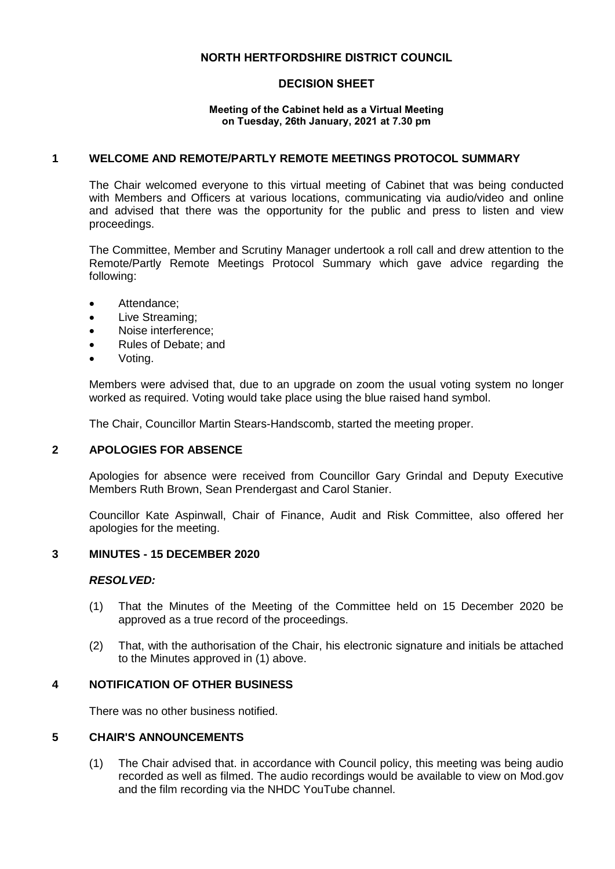# **NORTH HERTFORDSHIRE DISTRICT COUNCIL**

# **DECISION SHEET**

#### **Meeting of the Cabinet held as a Virtual Meeting on Tuesday, 26th January, 2021 at 7.30 pm**

## **1 WELCOME AND REMOTE/PARTLY REMOTE MEETINGS PROTOCOL SUMMARY**

The Chair welcomed everyone to this virtual meeting of Cabinet that was being conducted with Members and Officers at various locations, communicating via audio/video and online and advised that there was the opportunity for the public and press to listen and view proceedings.

The Committee, Member and Scrutiny Manager undertook a roll call and drew attention to the Remote/Partly Remote Meetings Protocol Summary which gave advice regarding the following:

- Attendance:
- Live Streaming;
- Noise interference;
- Rules of Debate; and
- Voting.

Members were advised that, due to an upgrade on zoom the usual voting system no longer worked as required. Voting would take place using the blue raised hand symbol.

The Chair, Councillor Martin Stears-Handscomb, started the meeting proper.

#### **2 APOLOGIES FOR ABSENCE**

Apologies for absence were received from Councillor Gary Grindal and Deputy Executive Members Ruth Brown, Sean Prendergast and Carol Stanier.

Councillor Kate Aspinwall, Chair of Finance, Audit and Risk Committee, also offered her apologies for the meeting.

#### **3 MINUTES - 15 DECEMBER 2020**

#### *RESOLVED:*

- (1) That the Minutes of the Meeting of the Committee held on 15 December 2020 be approved as a true record of the proceedings.
- (2) That, with the authorisation of the Chair, his electronic signature and initials be attached to the Minutes approved in (1) above.

## **4 NOTIFICATION OF OTHER BUSINESS**

There was no other business notified.

#### **5 CHAIR'S ANNOUNCEMENTS**

(1) The Chair advised that. in accordance with Council policy, this meeting was being audio recorded as well as filmed. The audio recordings would be available to view on Mod.gov and the film recording via the NHDC YouTube channel.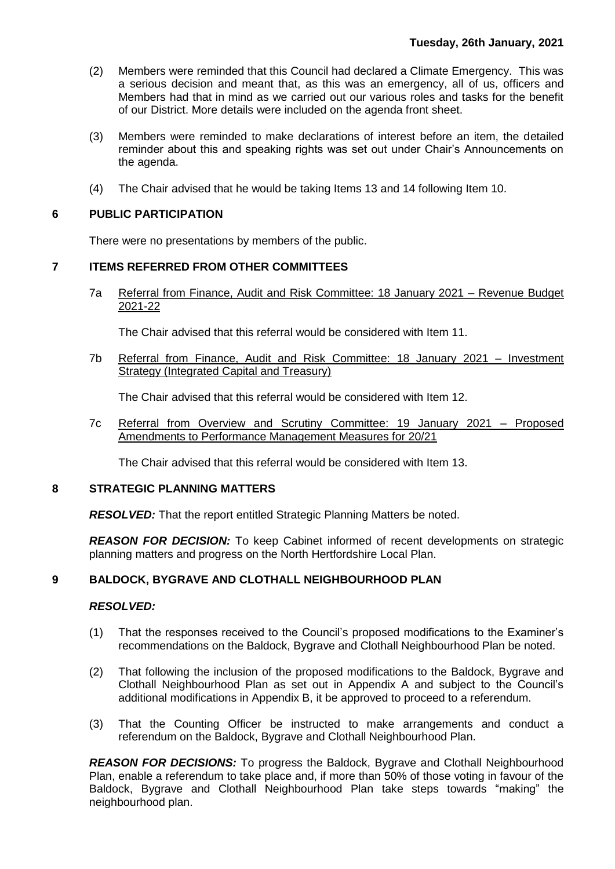- (2) Members were reminded that this Council had declared a Climate Emergency. This was a serious decision and meant that, as this was an emergency, all of us, officers and Members had that in mind as we carried out our various roles and tasks for the benefit of our District. More details were included on the agenda front sheet.
- (3) Members were reminded to make declarations of interest before an item, the detailed reminder about this and speaking rights was set out under Chair's Announcements on the agenda.
- (4) The Chair advised that he would be taking Items 13 and 14 following Item 10.

## **6 PUBLIC PARTICIPATION**

There were no presentations by members of the public.

## **7 ITEMS REFERRED FROM OTHER COMMITTEES**

7a Referral from Finance, Audit and Risk Committee: 18 January 2021 – Revenue Budget 2021-22

The Chair advised that this referral would be considered with Item 11.

7b Referral from Finance, Audit and Risk Committee: 18 January 2021 – Investment Strategy (Integrated Capital and Treasury)

The Chair advised that this referral would be considered with Item 12.

7c Referral from Overview and Scrutiny Committee: 19 January 2021 – Proposed Amendments to Performance Management Measures for 20/21

The Chair advised that this referral would be considered with Item 13.

#### **8 STRATEGIC PLANNING MATTERS**

*RESOLVED:* That the report entitled Strategic Planning Matters be noted.

*REASON FOR DECISION:* To keep Cabinet informed of recent developments on strategic planning matters and progress on the North Hertfordshire Local Plan.

## **9 BALDOCK, BYGRAVE AND CLOTHALL NEIGHBOURHOOD PLAN**

### *RESOLVED:*

- (1) That the responses received to the Council's proposed modifications to the Examiner's recommendations on the Baldock, Bygrave and Clothall Neighbourhood Plan be noted.
- (2) That following the inclusion of the proposed modifications to the Baldock, Bygrave and Clothall Neighbourhood Plan as set out in Appendix A and subject to the Council's additional modifications in Appendix B, it be approved to proceed to a referendum.
- (3) That the Counting Officer be instructed to make arrangements and conduct a referendum on the Baldock, Bygrave and Clothall Neighbourhood Plan.

*REASON FOR DECISIONS:* To progress the Baldock, Bygrave and Clothall Neighbourhood Plan, enable a referendum to take place and, if more than 50% of those voting in favour of the Baldock, Bygrave and Clothall Neighbourhood Plan take steps towards "making" the neighbourhood plan.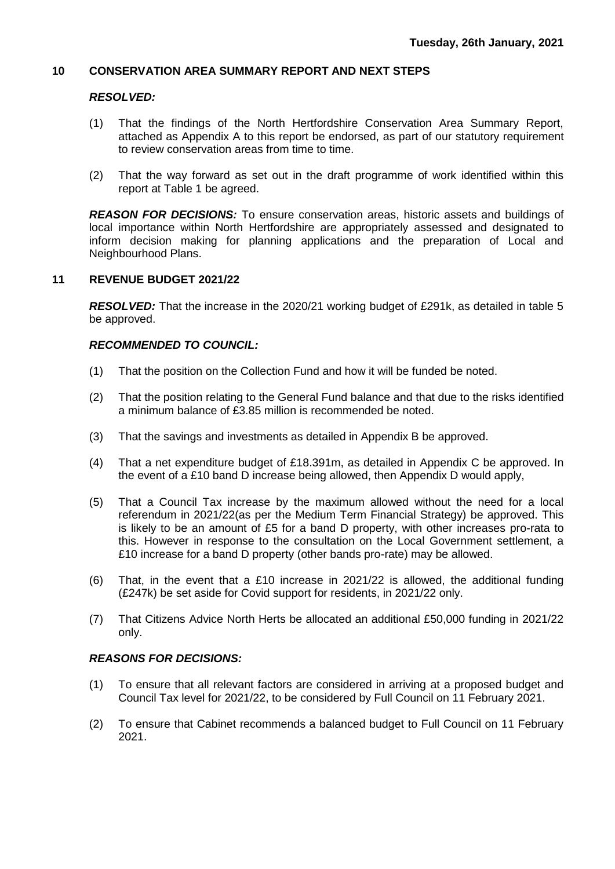#### **10 CONSERVATION AREA SUMMARY REPORT AND NEXT STEPS**

## *RESOLVED:*

- (1) That the findings of the North Hertfordshire Conservation Area Summary Report, attached as Appendix A to this report be endorsed, as part of our statutory requirement to review conservation areas from time to time.
- (2) That the way forward as set out in the draft programme of work identified within this report at Table 1 be agreed.

*REASON FOR DECISIONS:* To ensure conservation areas, historic assets and buildings of local importance within North Hertfordshire are appropriately assessed and designated to inform decision making for planning applications and the preparation of Local and Neighbourhood Plans.

#### **11 REVENUE BUDGET 2021/22**

*RESOLVED:* That the increase in the 2020/21 working budget of £291k, as detailed in table 5 be approved.

#### *RECOMMENDED TO COUNCIL:*

- (1) That the position on the Collection Fund and how it will be funded be noted.
- (2) That the position relating to the General Fund balance and that due to the risks identified a minimum balance of £3.85 million is recommended be noted.
- (3) That the savings and investments as detailed in Appendix B be approved.
- (4) That a net expenditure budget of £18.391m, as detailed in Appendix C be approved. In the event of a £10 band D increase being allowed, then Appendix D would apply,
- (5) That a Council Tax increase by the maximum allowed without the need for a local referendum in 2021/22(as per the Medium Term Financial Strategy) be approved. This is likely to be an amount of £5 for a band D property, with other increases pro-rata to this. However in response to the consultation on the Local Government settlement, a £10 increase for a band D property (other bands pro-rate) may be allowed.
- (6) That, in the event that a £10 increase in 2021/22 is allowed, the additional funding (£247k) be set aside for Covid support for residents, in 2021/22 only.
- (7) That Citizens Advice North Herts be allocated an additional £50,000 funding in 2021/22 only.

#### *REASONS FOR DECISIONS:*

- (1) To ensure that all relevant factors are considered in arriving at a proposed budget and Council Tax level for 2021/22, to be considered by Full Council on 11 February 2021.
- (2) To ensure that Cabinet recommends a balanced budget to Full Council on 11 February 2021.